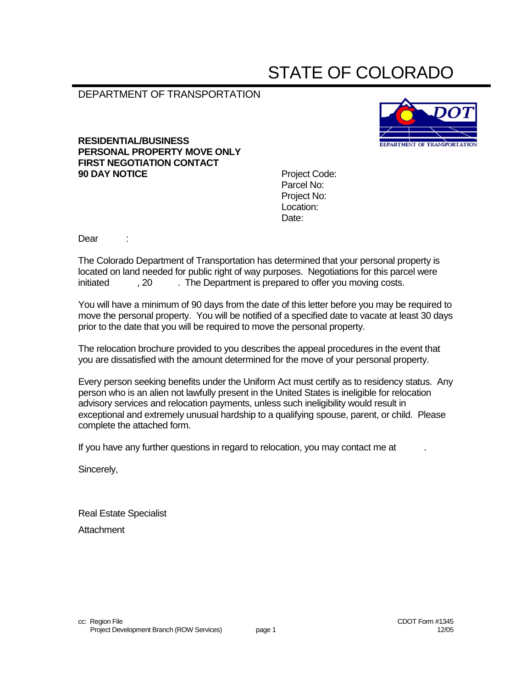# STATE OF COLORADO

# DEPARTMENT OF TRANSPORTATION

#### **RESIDENTIAL/BUSINESS PERSONAL PROPERTY MOVE ONLY FIRST NEGOTIATION CONTACT 90 DAY NOTICE** Project Code:



Parcel No: Project No: Location: Date:

Dear :

The Colorado Department of Transportation has determined that your personal property is located on land needed for public right of way purposes. Negotiations for this parcel were initiated , 20 . The Department is prepared to offer you moving costs.

You will have a minimum of 90 days from the date of this letter before you may be required to move the personal property. You will be notified of a specified date to vacate at least 30 days prior to the date that you will be required to move the personal property.

The relocation brochure provided to you describes the appeal procedures in the event that you are dissatisfied with the amount determined for the move of your personal property.

Every person seeking benefits under the Uniform Act must certify as to residency status. Any person who is an alien not lawfully present in the United States is ineligible for relocation advisory services and relocation payments, unless such ineligibility would result in exceptional and extremely unusual hardship to a qualifying spouse, parent, or child. Please complete the attached form.

If you have any further questions in regard to relocation, you may contact me at .

Sincerely,

Real Estate Specialist **Attachment**